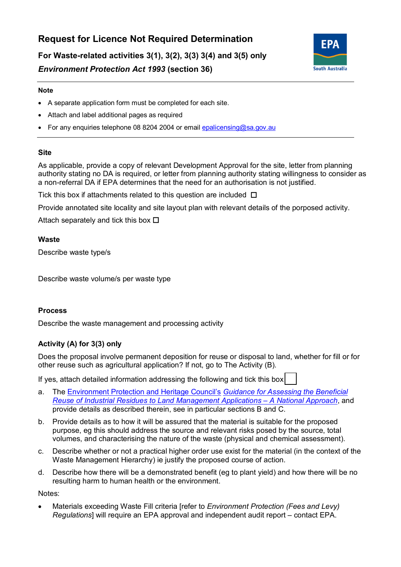# **Request for Licence Not Required Determination**

 **For Waste-related activities 3(1), 3(2), 3(3) 3(4) and 3(5) only**  *Environment Protection Act 1993* **(section 36)**



## **Note**

- A separate application form must be completed for each site.
- Attach and label additional pages as required
- For any enquiries telephone 08 8204 2004 or email epalicensing@sa.gov.au

## **Site**

 As applicable, provide a copy of relevant Development Approval for the site, letter from planning authority stating no DA is required, or letter from planning authority stating willingness to consider as a non-referral DA if EPA determines that the need for an authorisation is not justified.

Tick this box if attachments related to this question are included  $\Box$ 

Provide annotated site locality and site layout plan with relevant details of the porposed activity.

Attach separately and tick this box  $\Box$ 

# **Waste**

Describe waste type/s

Describe waste volume/s per waste type

# **Process**

Describe the waste management and processing activity

# **Activity (A) for 3(3) only**

 Does the proposal involve permanent deposition for reuse or disposal to land, whether for fill or for other reuse such as agricultural application? If not, go to The Activity (B).

If yes, attach detailed information addressing the following and tick this box

- provide details as described therein, see in particular sections B and C. a. The [Environment Protection and Heritage Council's](http://www.ephc.gov.au/) *[Guidance for Assessing the Beneficial](http://nepc.gov.au/system/files/resources/020c2577-eac9-0494-493c-d1ce2b4442e5/files/ir-rpt-guidance-assessing-beneficial-reuse-industrial-residues-land-management-applications-200609.pdf) [Reuse of Industrial Residues to Land Management Applications – A National Approach](http://nepc.gov.au/system/files/resources/020c2577-eac9-0494-493c-d1ce2b4442e5/files/ir-rpt-guidance-assessing-beneficial-reuse-industrial-residues-land-management-applications-200609.pdf)*, and
- provide details as described therein, see in particular sections B and C. b. Provide details as to how it will be assured that the material is suitable for the proposed purpose, eg this should address the source and relevant risks posed by the source, total volumes, and characterising the nature of the waste (physical and chemical assessment).
- c. Describe whether or not a practical higher order use exist for the material (in the context of the Waste Management Hierarchy) ie justify the proposed course of action.
- d. Describe how there will be a demonstrated benefit (eg to plant yield) and how there will be no resulting harm to human health or the environment.

Notes:

 • Materials exceeding Waste Fill criteria [refer to *Environment Protection (Fees and Levy) Regulations*] will require an EPA approval and independent audit report – contact EPA.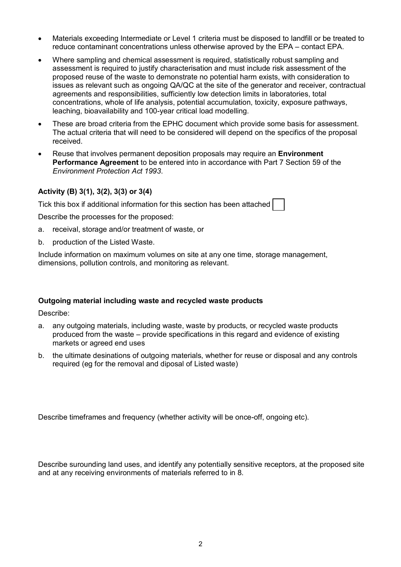- reduce contaminant concentrations unless otherwise aproved by the EPA contact EPA. • Materials exceeding Intermediate or Level 1 criteria must be disposed to landfill or be treated to
- agreements and responsibilities, sufficiently low detection limits in laboratories, total • Where sampling and chemical assessment is required, statistically robust sampling and assessment is required to justify characterisation and must include risk assessment of the proposed reuse of the waste to demonstrate no potential harm exists, with consideration to issues as relevant such as ongoing QA/QC at the site of the generator and receiver, contractual concentrations, whole of life analysis, potential accumulation, toxicity, exposure pathways, leaching, bioavailability and 100-year critical load modelling.
- • These are broad criteria from the EPHC document which provide some basis for assessment. The actual criteria that will need to be considered will depend on the specifics of the proposal received.
- Reuse that involves permanent deposition proposals may require an **Environment Performance Agreement** to be entered into in accordance with Part 7 Section 59 of the *Environment Protection Act 1993*.

## **Activity (B) 3(1), 3(2), 3(3) or 3(4)**

Tick this box if additional information for this section has been attached

Describe the processes for the proposed:

- a. receival, storage and/or treatment of waste, or
- b. production of the Listed Waste.

 Include information on maximum volumes on site at any one time, storage management, dimensions, pollution controls, and monitoring as relevant.

#### **Outgoing material including waste and recycled waste products**

Describe:

- produced from the waste provide specifications in this regard and evidence of existing a. any outgoing materials, including waste, waste by products, or recycled waste products markets or agreed end uses
- b. the ultimate desinations of outgoing materials, whether for reuse or disposal and any controls required (eg for the removal and diposal of Listed waste)

Describe timeframes and frequency (whether activity will be once-off, ongoing etc).

Describe surounding land uses, and identify any potentially sensitive receptors, at the proposed site and at any receiving environments of materials referred to in 8.